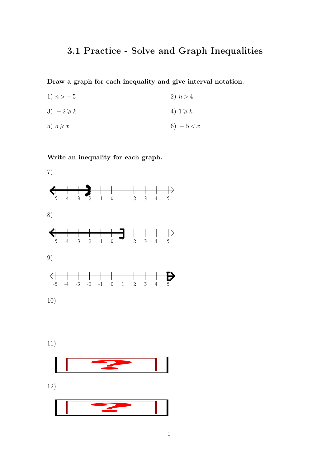## **3.1 Practice - Solve and Graph Inequalities**

**Draw a graph for each inequality and give interval notation.**

1)  $n > -5$ 3)  $-2 \geqslant k$ 5)  $5 \geqslant x$ 2)  $n > 4$ 4)  $1 \geq k$ 6)  $-5 < x$ 

**Write an inequality for each graph.**



11)

12)



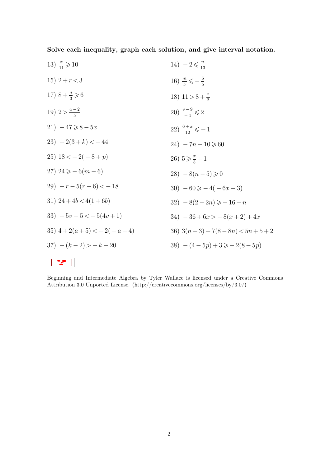**Solve each inequality, graph each solution, and give interval notation.**

| 13) $\frac{x}{11} \geq 10$  | $14) - 2 \leq \frac{n}{12}$            |
|-----------------------------|----------------------------------------|
| 15) $2+r<3$                 | 16) $\frac{m}{5} \leq -\frac{6}{5}$    |
| 17) $8 + \frac{n}{3} \ge 6$ | 18) $11 > 8 + \frac{x}{2}$             |
| 19) $2 > \frac{a-2}{5}$     | 20) $\frac{v-9}{4} \leq 2$             |
| 21) $-47 \ge 8 - 5x$        | 22) $\frac{6+x}{12} \leqslant -1$      |
| $23) - 2(3 + k) < -44$      | $24) - 7n - 10 \ge 60$                 |
| 25) $18 < -2(-8+p)$         | 26) $5 \geqslant \frac{x}{5} + 1$      |
| 27) $24 \ge -6(m-6)$        | $28) - 8(n-5) \ge 0$                   |
| $(29)$ - $r-5(r-6) < -18$   | $30) -60 \ge -4(-6x-3)$                |
| 31) $24+4b < 4(1+6b)$       | $32) - 8(2 - 2n) \geqslant -16 + n$    |
| $33) -5v - 5 < -5(4v + 1)$  | $34) -36 + 6x > -8(x+2) + 4x$          |
| 35) $4+2(a+5) < -2(-a-4)$   | 36) $3(n+3) + 7(8-8n) < 5n+5+2$        |
| $37) - (k-2) > -k-20$       | $(38) - (4-5p) + 3 \geqslant -2(8-5p)$ |
|                             |                                        |

**?**

Beginning and Intermediate Algebra by Tyler Wallace is licensed under a Creative Commons Attribution 3.0 Unported License. (http://creativecommons.org/licenses/by/3.0/)